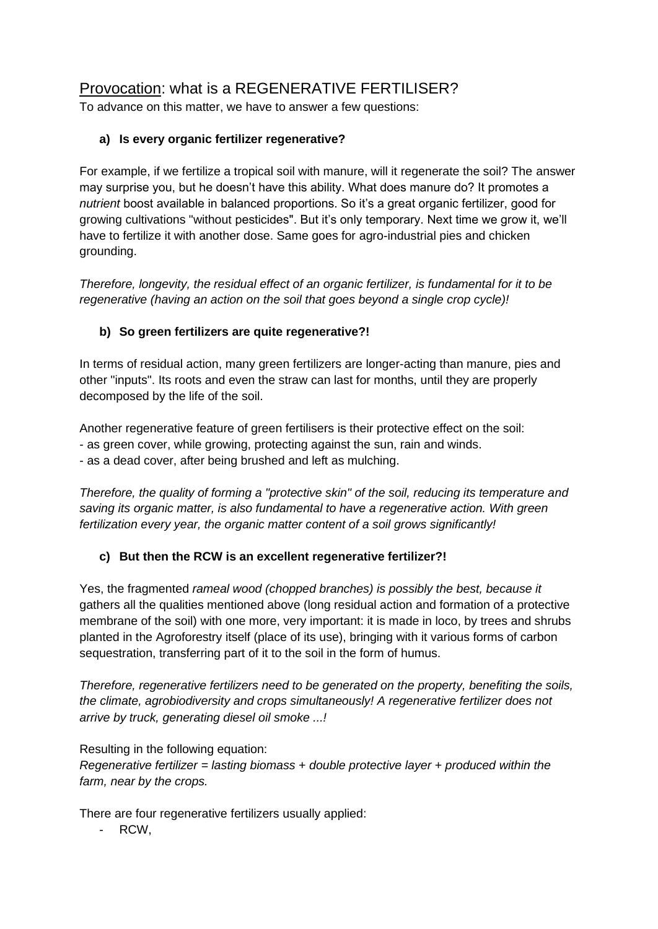## Provocation: what is a REGENERATIVE FERTILISER?

To advance on this matter, we have to answer a few questions:

## **a) Is every organic fertilizer regenerative?**

For example, if we fertilize a tropical soil with manure, will it regenerate the soil? The answer may surprise you, but he doesn't have this ability. What does manure do? It promotes a *nutrient* boost available in balanced proportions. So it's a great organic fertilizer, good for growing cultivations "without pesticides". But it's only temporary. Next time we grow it, we'll have to fertilize it with another dose. Same goes for agro-industrial pies and chicken grounding.

*Therefore, longevity, the residual effect of an organic fertilizer, is fundamental for it to be regenerative (having an action on the soil that goes beyond a single crop cycle)!* 

## **b) So green fertilizers are quite regenerative?!**

In terms of residual action, many green fertilizers are longer-acting than manure, pies and other "inputs". Its roots and even the straw can last for months, until they are properly decomposed by the life of the soil.

Another regenerative feature of green fertilisers is their protective effect on the soil:

- as green cover, while growing, protecting against the sun, rain and winds.

- as a dead cover, after being brushed and left as mulching.

*Therefore, the quality of forming a "protective skin" of the soil, reducing its temperature and saving its organic matter, is also fundamental to have a regenerative action. With green fertilization every year, the organic matter content of a soil grows significantly!*

## **c) But then the RCW is an excellent regenerative fertilizer?!**

Yes, the fragmented *rameal wood (chopped branches) is possibly the best, because it* gathers all the qualities mentioned above (long residual action and formation of a protective membrane of the soil) with one more, very important: it is made in loco, by trees and shrubs planted in the Agroforestry itself (place of its use), bringing with it various forms of carbon sequestration, transferring part of it to the soil in the form of humus.

*Therefore, regenerative fertilizers need to be generated on the property, benefiting the soils, the climate, agrobiodiversity and crops simultaneously! A regenerative fertilizer does not arrive by truck, generating diesel oil smoke ...!*

Resulting in the following equation:

*Regenerative fertilizer = lasting biomass + double protective layer + produced within the farm, near by the crops.*

There are four regenerative fertilizers usually applied:

RCW.